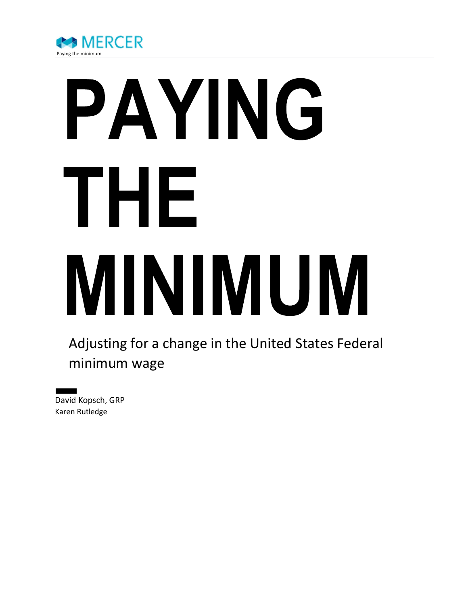

# PAYING THE MINIMUM

Adjusting for a change in the United States Federal minimum wage

David Kopsch, GRP Karen Rutledge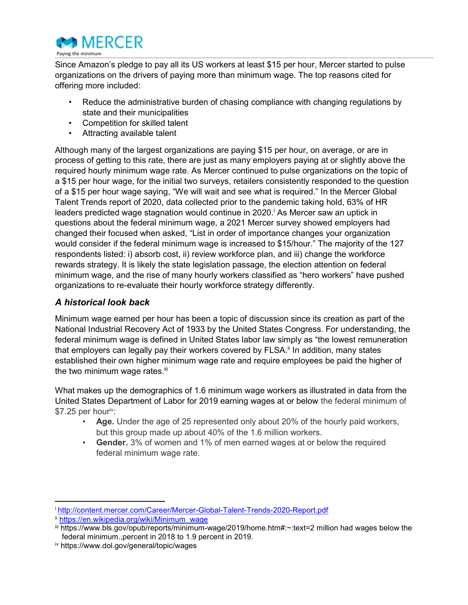

Since Amazon's pledge to pay all its US workers at least \$15 per hour, Mercer started to pulse organizations on the drivers of paying more than minimum wage. The top reasons cited for offering more included:

- Reduce the administrative burden of chasing compliance with changing regulations by state and their municipalities
- Competition for skilled talent
- Attracting available talent

Although many of the largest organizations are paying \$15 per hour, on average, or are in process of getting to this rate, there are just as many employers paying at or slightly above the required hourly minimum wage rate. As Mercer continued to pulse organizations on the topic of a \$15 per hour wage, for the initial two surveys, retailers consistently responded to the question of a \$15 per hour wage saying, "We will wait and see what is required." In the Mercer Global Talent Trends report of 2020, data collected prior to the pandemic taking hold, 63% of HR leaders predicted wage stagnation would continue in 2020.<sup>i</sup> As Mercer saw an uptick in questions about the federal minimum wage, a 2021 Mercer survey showed employers had changed their focused when asked, "List in order of importance changes your organization would consider if the federal minimum wage is increased to \$15/hour." The majority of the 127 respondents listed: i) absorb cost, ii) review workforce plan, and iii) change the workforce rewards strategy. It is likely the state legislation passage, the election attention on federal minimum wage, and the rise of many hourly workers classified as "hero workers" have pushed organizations to re-evaluate their hourly workforce strategy differently.

## A historical look back

Minimum wage earned per hour has been a topic of discussion since its creation as part of the National Industrial Recovery Act of 1933 by the United States Congress. For understanding, the federal minimum wage is defined in United States labor law simply as "the lowest remuneration that employers can legally pay their workers covered by FLSA.<sup>ii</sup> In addition, many states established their own higher minimum wage rate and require employees be paid the higher of the two minimum wage rates.<sup>iii</sup>

What makes up the demographics of 1.6 minimum wage workers as illustrated in data from the United States Department of Labor for 2019 earning wages at or below the federal minimum of  $$7.25$  per hour<sup>iv</sup>:

- Age. Under the age of 25 represented only about 20% of the hourly paid workers, but this group made up about 40% of the 1.6 million workers.
- Gender. 3% of women and 1% of men earned wages at or below the required federal minimum wage rate.

 $\overline{a}$ 

<sup>i</sup> http://content.mercer.com/Career/Mercer-Global-Talent-Trends-2020-Report.pdf

ii https://en.wikipedia.org/wiki/Minimum\_wage

iii https://www.bls.gov/opub/reports/minimum-wage/2019/home.htm#:~:text=2 million had wages below the federal minimum.,percent in 2018 to 1.9 percent in 2019.

iv https://www.dol.gov/general/topic/wages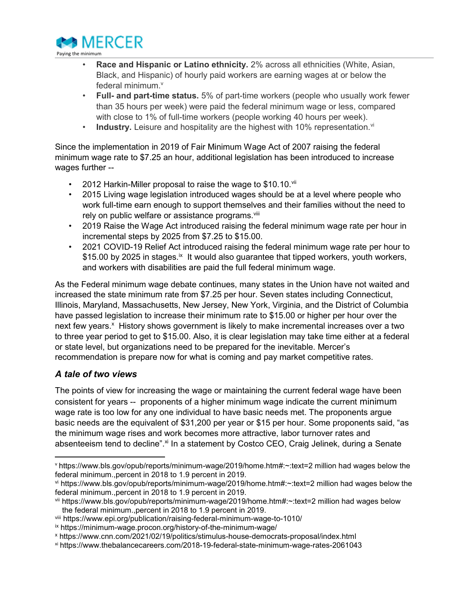

- Race and Hispanic or Latino ethnicity. 2% across all ethnicities (White, Asian, Black, and Hispanic) of hourly paid workers are earning wages at or below the federal minimum.<sup>v</sup>
- Full- and part-time status. 5% of part-time workers (people who usually work fewer than 35 hours per week) were paid the federal minimum wage or less, compared with close to 1% of full-time workers (people working 40 hours per week).
- Industry. Leisure and hospitality are the highest with 10% representation.<sup>vi</sup>

Since the implementation in 2019 of Fair Minimum Wage Act of 2007 raising the federal minimum wage rate to \$7.25 an hour, additional legislation has been introduced to increase wages further --

- 2012 Harkin-Miller proposal to raise the wage to \$10.10. Vil
- 2015 Living wage legislation introduced wages should be at a level where people who work full-time earn enough to support themselves and their families without the need to rely on public welfare or assistance programs. Vili
- 2019 Raise the Wage Act introduced raising the federal minimum wage rate per hour in incremental steps by 2025 from \$7.25 to \$15.00.
- 2021 COVID-19 Relief Act introduced raising the federal minimum wage rate per hour to \$15.00 by 2025 in stages.<sup>ix</sup> It would also guarantee that tipped workers, youth workers, and workers with disabilities are paid the full federal minimum wage.

As the Federal minimum wage debate continues, many states in the Union have not waited and increased the state minimum rate from \$7.25 per hour. Seven states including Connecticut, Illinois, Maryland, Massachusetts, New Jersey, New York, Virginia, and the District of Columbia have passed legislation to increase their minimum rate to \$15.00 or higher per hour over the next few years.<sup>x</sup> History shows government is likely to make incremental increases over a two to three year period to get to \$15.00. Also, it is clear legislation may take time either at a federal or state level, but organizations need to be prepared for the inevitable. Mercer's recommendation is prepare now for what is coming and pay market competitive rates.

# A tale of two views

 $\overline{a}$ 

The points of view for increasing the wage or maintaining the current federal wage have been consistent for years -- proponents of a higher minimum wage indicate the current minimum wage rate is too low for any one individual to have basic needs met. The proponents argue basic needs are the equivalent of \$31,200 per year or \$15 per hour. Some proponents said, "as the minimum wage rises and work becomes more attractive, labor turnover rates and absenteeism tend to decline".<sup>xi</sup> In a statement by Costco CEO, Craig Jelinek, during a Senate

<sup>v</sup> https://www.bls.gov/opub/reports/minimum-wage/2019/home.htm#:~:text=2 million had wages below the federal minimum.,percent in 2018 to 1.9 percent in 2019.

vi https://www.bls.gov/opub/reports/minimum-wage/2019/home.htm#:~:text=2 million had wages below the federal minimum.,percent in 2018 to 1.9 percent in 2019.

vii https://www.bls.gov/opub/reports/minimum-wage/2019/home.htm#:~:text=2 million had wages below the federal minimum.,percent in 2018 to 1.9 percent in 2019.

viii https://www.epi.org/publication/raising-federal-minimum-wage-to-1010/

ix https://minimum-wage.procon.org/history-of-the-minimum-wage/

x https://www.cnn.com/2021/02/19/politics/stimulus-house-democrats-proposal/index.html

xi https://www.thebalancecareers.com/2018-19-federal-state-minimum-wage-rates-2061043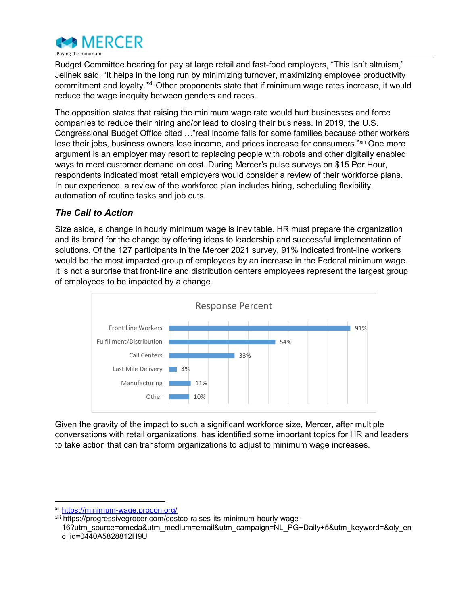

Budget Committee hearing for pay at large retail and fast-food employers, "This isn't altruism," Jelinek said. "It helps in the long run by minimizing turnover, maximizing employee productivity commitment and loyalty."<sup>xii</sup> Other proponents state that if minimum wage rates increase, it would reduce the wage inequity between genders and races.

The opposition states that raising the minimum wage rate would hurt businesses and force companies to reduce their hiring and/or lead to closing their business. In 2019, the U.S. Congressional Budget Office cited …"real income falls for some families because other workers lose their jobs, business owners lose income, and prices increase for consumers."<sup>xiii</sup> One more argument is an employer may resort to replacing people with robots and other digitally enabled ways to meet customer demand on cost. During Mercer's pulse surveys on \$15 Per Hour, respondents indicated most retail employers would consider a review of their workforce plans. In our experience, a review of the workforce plan includes hiring, scheduling flexibility, automation of routine tasks and job cuts.

## The Call to Action

Size aside, a change in hourly minimum wage is inevitable. HR must prepare the organization and its brand for the change by offering ideas to leadership and successful implementation of solutions. Of the 127 participants in the Mercer 2021 survey, 91% indicated front-line workers would be the most impacted group of employees by an increase in the Federal minimum wage. It is not a surprise that front-line and distribution centers employees represent the largest group of employees to be impacted by a change.



Given the gravity of the impact to such a significant workforce size, Mercer, after multiple conversations with retail organizations, has identified some important topics for HR and leaders to take action that can transform organizations to adjust to minimum wage increases.

 $\overline{a}$ 

xii https://minimum-wage.procon.org/

xiii https://progressivegrocer.com/costco-raises-its-minimum-hourly-wage-

<sup>16?</sup>utm\_source=omeda&utm\_medium=email&utm\_campaign=NL\_PG+Daily+5&utm\_keyword=&oly\_en c\_id=0440A5828812H9U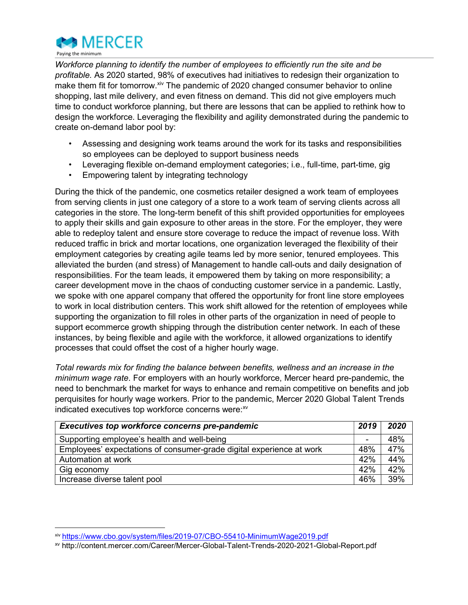

Workforce planning to identify the number of employees to efficiently run the site and be profitable. As 2020 started, 98% of executives had initiatives to redesign their organization to make them fit for tomorrow.<sup>xiv</sup> The pandemic of 2020 changed consumer behavior to online shopping, last mile delivery, and even fitness on demand. This did not give employers much time to conduct workforce planning, but there are lessons that can be applied to rethink how to design the workforce. Leveraging the flexibility and agility demonstrated during the pandemic to create on-demand labor pool by:

- Assessing and designing work teams around the work for its tasks and responsibilities so employees can be deployed to support business needs
- Leveraging flexible on-demand employment categories; i.e., full-time, part-time, gig
- Empowering talent by integrating technology

During the thick of the pandemic, one cosmetics retailer designed a work team of employees from serving clients in just one category of a store to a work team of serving clients across all categories in the store. The long-term benefit of this shift provided opportunities for employees to apply their skills and gain exposure to other areas in the store. For the employer, they were able to redeploy talent and ensure store coverage to reduce the impact of revenue loss. With reduced traffic in brick and mortar locations, one organization leveraged the flexibility of their employment categories by creating agile teams led by more senior, tenured employees. This alleviated the burden (and stress) of Management to handle call-outs and daily designation of responsibilities. For the team leads, it empowered them by taking on more responsibility; a career development move in the chaos of conducting customer service in a pandemic. Lastly, we spoke with one apparel company that offered the opportunity for front line store employees to work in local distribution centers. This work shift allowed for the retention of employees while supporting the organization to fill roles in other parts of the organization in need of people to support ecommerce growth shipping through the distribution center network. In each of these instances, by being flexible and agile with the workforce, it allowed organizations to identify processes that could offset the cost of a higher hourly wage.

Total rewards mix for finding the balance between benefits, wellness and an increase in the minimum wage rate. For employers with an hourly workforce, Mercer heard pre-pandemic, the need to benchmark the market for ways to enhance and remain competitive on benefits and job perquisites for hourly wage workers. Prior to the pandemic, Mercer 2020 Global Talent Trends indicated executives top workforce concerns were: xv

| Executives top workforce concerns pre-pandemic                       | 2019 | 2020 |
|----------------------------------------------------------------------|------|------|
| Supporting employee's health and well-being                          | -    | 48%  |
| Employees' expectations of consumer-grade digital experience at work | 48%  | 47%  |
| Automation at work                                                   | 42%  | 44%  |
| Gig economy                                                          | 42%  | 42%  |
| Increase diverse talent pool                                         | 46%  | 39%  |

 $\overline{a}$ 

xiv https://www.cbo.gov/system/files/2019-07/CBO-55410-MinimumWage2019.pdf

xv http://content.mercer.com/Career/Mercer-Global-Talent-Trends-2020-2021-Global-Report.pdf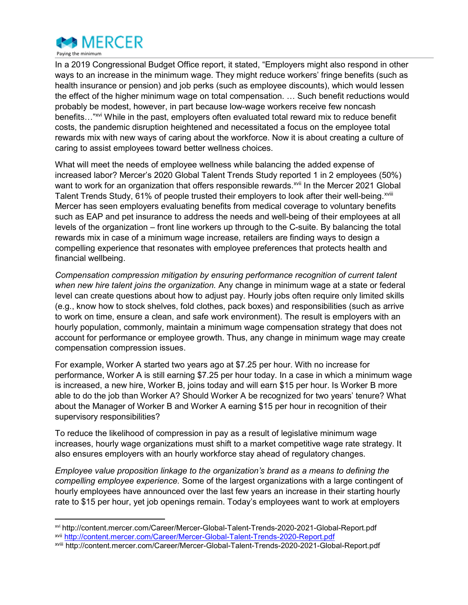

In a 2019 Congressional Budget Office report, it stated, "Employers might also respond in other ways to an increase in the minimum wage. They might reduce workers' fringe benefits (such as health insurance or pension) and job perks (such as employee discounts), which would lessen the effect of the higher minimum wage on total compensation. … Such benefit reductions would probably be modest, however, in part because low-wage workers receive few noncash benefits..."<sup>xvi</sup> While in the past, employers often evaluated total reward mix to reduce benefit costs, the pandemic disruption heightened and necessitated a focus on the employee total rewards mix with new ways of caring about the workforce. Now it is about creating a culture of caring to assist employees toward better wellness choices.

What will meet the needs of employee wellness while balancing the added expense of increased labor? Mercer's 2020 Global Talent Trends Study reported 1 in 2 employees (50%) want to work for an organization that offers responsible rewards.<sup>xvii</sup> In the Mercer 2021 Global Talent Trends Study, 61% of people trusted their employers to look after their well-being. Xviii Mercer has seen employers evaluating benefits from medical coverage to voluntary benefits such as EAP and pet insurance to address the needs and well-being of their employees at all levels of the organization – front line workers up through to the C-suite. By balancing the total rewards mix in case of a minimum wage increase, retailers are finding ways to design a compelling experience that resonates with employee preferences that protects health and financial wellbeing.

Compensation compression mitigation by ensuring performance recognition of current talent when new hire talent joins the organization. Any change in minimum wage at a state or federal level can create questions about how to adjust pay. Hourly jobs often require only limited skills (e.g., know how to stock shelves, fold clothes, pack boxes) and responsibilities (such as arrive to work on time, ensure a clean, and safe work environment). The result is employers with an hourly population, commonly, maintain a minimum wage compensation strategy that does not account for performance or employee growth. Thus, any change in minimum wage may create compensation compression issues.

For example, Worker A started two years ago at \$7.25 per hour. With no increase for performance, Worker A is still earning \$7.25 per hour today. In a case in which a minimum wage is increased, a new hire, Worker B, joins today and will earn \$15 per hour. Is Worker B more able to do the job than Worker A? Should Worker A be recognized for two years' tenure? What about the Manager of Worker B and Worker A earning \$15 per hour in recognition of their supervisory responsibilities?

To reduce the likelihood of compression in pay as a result of legislative minimum wage increases, hourly wage organizations must shift to a market competitive wage rate strategy. It also ensures employers with an hourly workforce stay ahead of regulatory changes.

Employee value proposition linkage to the organization's brand as a means to defining the compelling employee experience. Some of the largest organizations with a large contingent of hourly employees have announced over the last few years an increase in their starting hourly rate to \$15 per hour, yet job openings remain. Today's employees want to work at employers

xvi http://content.mercer.com/Career/Mercer-Global-Talent-Trends-2020-2021-Global-Report.pdf xvii http://content.mercer.com/Career/Mercer-Global-Talent-Trends-2020-Report.pdf

xviii http://content.mercer.com/Career/Mercer-Global-Talent-Trends-2020-2021-Global-Report.pdf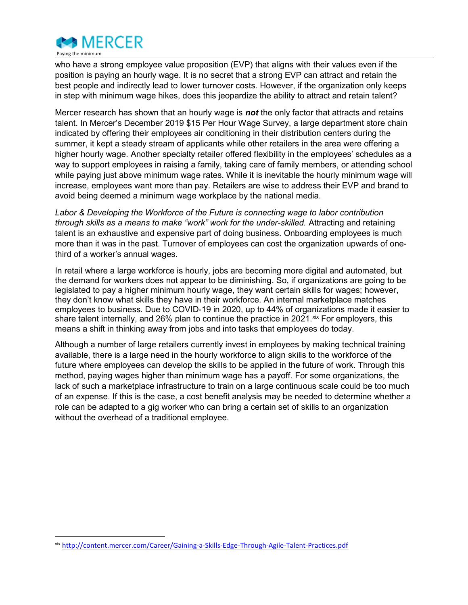

who have a strong employee value proposition (EVP) that aligns with their values even if the position is paying an hourly wage. It is no secret that a strong EVP can attract and retain the best people and indirectly lead to lower turnover costs. However, if the organization only keeps in step with minimum wage hikes, does this jeopardize the ability to attract and retain talent?

Mercer research has shown that an hourly wage is **not** the only factor that attracts and retains talent. In Mercer's December 2019 \$15 Per Hour Wage Survey, a large department store chain indicated by offering their employees air conditioning in their distribution centers during the summer, it kept a steady stream of applicants while other retailers in the area were offering a higher hourly wage. Another specialty retailer offered flexibility in the employees' schedules as a way to support employees in raising a family, taking care of family members, or attending school while paying just above minimum wage rates. While it is inevitable the hourly minimum wage will increase, employees want more than pay. Retailers are wise to address their EVP and brand to avoid being deemed a minimum wage workplace by the national media.

Labor & Developing the Workforce of the Future is connecting wage to labor contribution through skills as a means to make "work" work for the under-skilled. Attracting and retaining talent is an exhaustive and expensive part of doing business. Onboarding employees is much more than it was in the past. Turnover of employees can cost the organization upwards of onethird of a worker's annual wages.

In retail where a large workforce is hourly, jobs are becoming more digital and automated, but the demand for workers does not appear to be diminishing. So, if organizations are going to be legislated to pay a higher minimum hourly wage, they want certain skills for wages; however, they don't know what skills they have in their workforce. An internal marketplace matches employees to business. Due to COVID-19 in 2020, up to 44% of organizations made it easier to share talent internally, and 26% plan to continue the practice in 2021. Xix For employers, this means a shift in thinking away from jobs and into tasks that employees do today.

Although a number of large retailers currently invest in employees by making technical training available, there is a large need in the hourly workforce to align skills to the workforce of the future where employees can develop the skills to be applied in the future of work. Through this method, paying wages higher than minimum wage has a payoff. For some organizations, the lack of such a marketplace infrastructure to train on a large continuous scale could be too much of an expense. If this is the case, a cost benefit analysis may be needed to determine whether a role can be adapted to a gig worker who can bring a certain set of skills to an organization without the overhead of a traditional employee.

xix http://content.mercer.com/Career/Gaining-a-Skills-Edge-Through-Agile-Talent-Practices.pdf